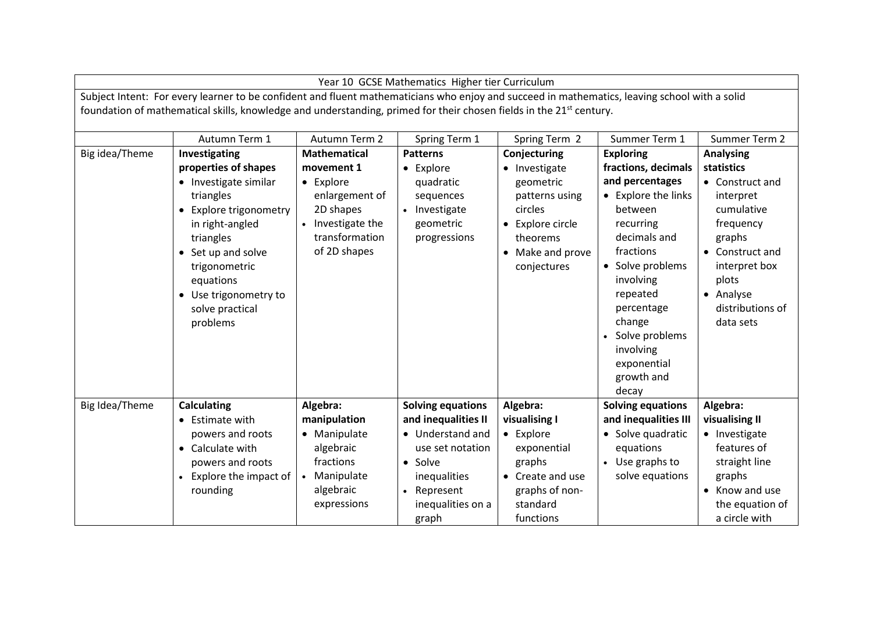| Year 10 GCSE Mathematics Higher tier Curriculum                                                                                                                                                                                                                                  |                                                                                                                                                                                                                                                   |                                                                                                                                                 |                                                                                                      |                                                                                                                                            |                                                                                                                                                                                                                                                                                  |                                                                                                                                                                                                |  |  |  |  |
|----------------------------------------------------------------------------------------------------------------------------------------------------------------------------------------------------------------------------------------------------------------------------------|---------------------------------------------------------------------------------------------------------------------------------------------------------------------------------------------------------------------------------------------------|-------------------------------------------------------------------------------------------------------------------------------------------------|------------------------------------------------------------------------------------------------------|--------------------------------------------------------------------------------------------------------------------------------------------|----------------------------------------------------------------------------------------------------------------------------------------------------------------------------------------------------------------------------------------------------------------------------------|------------------------------------------------------------------------------------------------------------------------------------------------------------------------------------------------|--|--|--|--|
| Subject Intent: For every learner to be confident and fluent mathematicians who enjoy and succeed in mathematics, leaving school with a solid<br>foundation of mathematical skills, knowledge and understanding, primed for their chosen fields in the 21 <sup>st</sup> century. |                                                                                                                                                                                                                                                   |                                                                                                                                                 |                                                                                                      |                                                                                                                                            |                                                                                                                                                                                                                                                                                  |                                                                                                                                                                                                |  |  |  |  |
|                                                                                                                                                                                                                                                                                  | Autumn Term 1                                                                                                                                                                                                                                     | Autumn Term 2                                                                                                                                   | Spring Term 1                                                                                        | Spring Term 2                                                                                                                              | Summer Term 1                                                                                                                                                                                                                                                                    | Summer Term 2                                                                                                                                                                                  |  |  |  |  |
| Big idea/Theme                                                                                                                                                                                                                                                                   | Investigating<br>properties of shapes<br>• Investigate similar<br>triangles<br>• Explore trigonometry<br>in right-angled<br>triangles<br>• Set up and solve<br>trigonometric<br>equations<br>• Use trigonometry to<br>solve practical<br>problems | <b>Mathematical</b><br>movement 1<br>• Explore<br>enlargement of<br>2D shapes<br>Investigate the<br>$\bullet$<br>transformation<br>of 2D shapes | <b>Patterns</b><br>• Explore<br>quadratic<br>sequences<br>• Investigate<br>geometric<br>progressions | Conjecturing<br>• Investigate<br>geometric<br>patterns using<br>circles<br>• Explore circle<br>theorems<br>• Make and prove<br>conjectures | <b>Exploring</b><br>fractions, decimals<br>and percentages<br>• Explore the links<br>between<br>recurring<br>decimals and<br>fractions<br>• Solve problems<br>involving<br>repeated<br>percentage<br>change<br>Solve problems<br>involving<br>exponential<br>growth and<br>decay | <b>Analysing</b><br>statistics<br>• Construct and<br>interpret<br>cumulative<br>frequency<br>graphs<br>• Construct and<br>interpret box<br>plots<br>• Analyse<br>distributions of<br>data sets |  |  |  |  |
| Big Idea/Theme                                                                                                                                                                                                                                                                   | <b>Calculating</b><br>• Estimate with                                                                                                                                                                                                             | Algebra:<br>manipulation                                                                                                                        | <b>Solving equations</b><br>and inequalities II                                                      | Algebra:<br>visualising I                                                                                                                  | <b>Solving equations</b><br>and inequalities III                                                                                                                                                                                                                                 | Algebra:<br>visualising II                                                                                                                                                                     |  |  |  |  |
|                                                                                                                                                                                                                                                                                  | powers and roots                                                                                                                                                                                                                                  | • Manipulate                                                                                                                                    | • Understand and                                                                                     | • Explore                                                                                                                                  | • Solve quadratic                                                                                                                                                                                                                                                                | • Investigate                                                                                                                                                                                  |  |  |  |  |
|                                                                                                                                                                                                                                                                                  | • Calculate with                                                                                                                                                                                                                                  | algebraic                                                                                                                                       | use set notation                                                                                     | exponential                                                                                                                                | equations                                                                                                                                                                                                                                                                        | features of                                                                                                                                                                                    |  |  |  |  |
|                                                                                                                                                                                                                                                                                  | powers and roots                                                                                                                                                                                                                                  | fractions                                                                                                                                       | • Solve                                                                                              | graphs                                                                                                                                     | • Use graphs to                                                                                                                                                                                                                                                                  | straight line                                                                                                                                                                                  |  |  |  |  |
|                                                                                                                                                                                                                                                                                  | • Explore the impact of                                                                                                                                                                                                                           | Manipulate                                                                                                                                      | inequalities                                                                                         | • Create and use                                                                                                                           | solve equations                                                                                                                                                                                                                                                                  | graphs                                                                                                                                                                                         |  |  |  |  |
|                                                                                                                                                                                                                                                                                  | rounding                                                                                                                                                                                                                                          | algebraic                                                                                                                                       | Represent<br>$\bullet$                                                                               | graphs of non-                                                                                                                             |                                                                                                                                                                                                                                                                                  | • Know and use                                                                                                                                                                                 |  |  |  |  |
|                                                                                                                                                                                                                                                                                  |                                                                                                                                                                                                                                                   | expressions                                                                                                                                     | inequalities on a<br>graph                                                                           | standard<br>functions                                                                                                                      |                                                                                                                                                                                                                                                                                  | the equation of<br>a circle with                                                                                                                                                               |  |  |  |  |